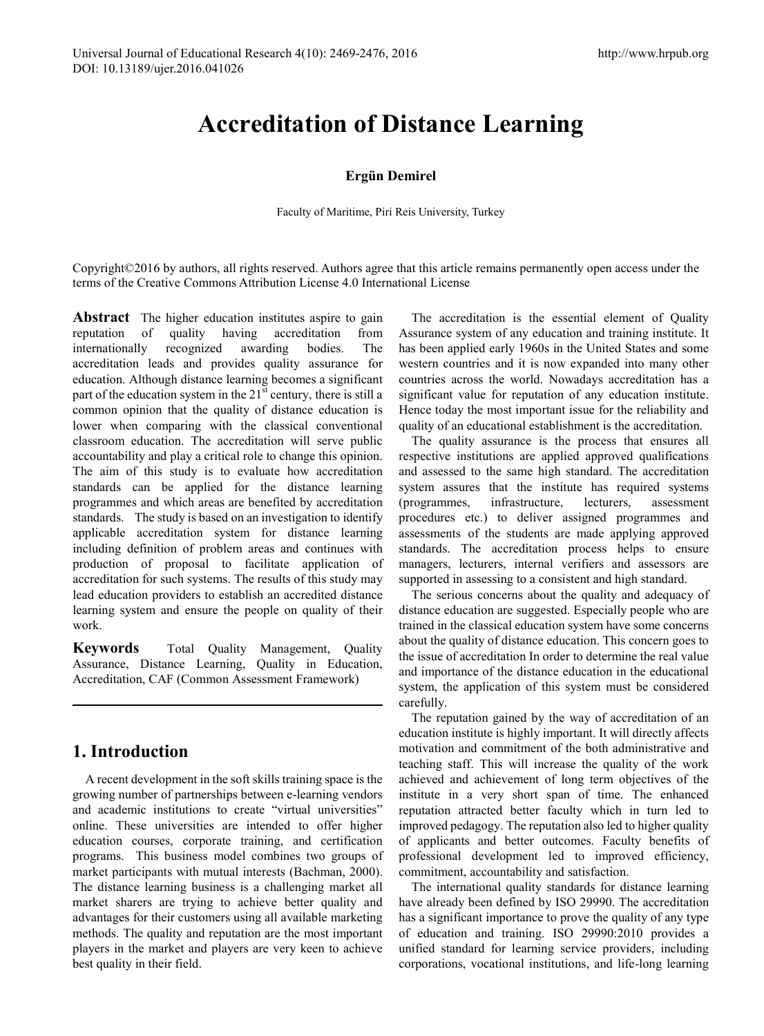# **Accreditation of Distance Learning**

#### **Ergün Demirel**

Faculty of Maritime, Piri Reis University, Turkey

Copyright©2016 by authors, all rights reserved. Authors agree that this article remains permanently open access under the terms of the Creative Commons Attribution License 4.0 International License

**Abstract** The higher education institutes aspire to gain reputation of quality having accreditation from internationally recognized awarding bodies. The accreditation leads and provides quality assurance for education. Although distance learning becomes a significant part of the education system in the  $21<sup>st</sup>$  century, there is still a common opinion that the quality of distance education is lower when comparing with the classical conventional classroom education. The accreditation will serve public accountability and play a critical role to change this opinion. The aim of this study is to evaluate how accreditation standards can be applied for the distance learning programmes and which areas are benefited by accreditation standards. The study is based on an investigation to identify applicable accreditation system for distance learning including definition of problem areas and continues with production of proposal to facilitate application of accreditation for such systems. The results of this study may lead education providers to establish an accredited distance learning system and ensure the people on quality of their work.

**Keywords** Total Quality Management, Quality Assurance, Distance Learning, Quality in Education, Accreditation, CAF (Common Assessment Framework)

# **1. Introduction**

A recent development in the soft skills training space is the growing number of partnerships between e-learning vendors and academic institutions to create "virtual universities" online. These universities are intended to offer higher education courses, corporate training, and certification programs. This business model combines two groups of market participants with mutual interests (Bachman, 2000). The distance learning business is a challenging market all market sharers are trying to achieve better quality and advantages for their customers using all available marketing methods. The quality and reputation are the most important players in the market and players are very keen to achieve best quality in their field.

The accreditation is the essential element of Quality Assurance system of any education and training institute. It has been applied early 1960s in the United States and some western countries and it is now expanded into many other countries across the world. Nowadays accreditation has a significant value for reputation of any education institute. Hence today the most important issue for the reliability and quality of an educational establishment is the accreditation.

The quality assurance is the process that ensures all respective institutions are applied approved qualifications and assessed to the same high standard. The accreditation system assures that the institute has required systems (programmes, infrastructure, lecturers, assessment procedures etc.) to deliver assigned programmes and assessments of the students are made applying approved standards. The accreditation process helps to ensure managers, lecturers, internal verifiers and assessors are supported in assessing to a consistent and high standard.

The serious concerns about the quality and adequacy of distance education are suggested. Especially people who are trained in the classical education system have some concerns about the quality of distance education. This concern goes to the issue of accreditation In order to determine the real value and importance of the distance education in the educational system, the application of this system must be considered carefully.

The reputation gained by the way of accreditation of an education institute is highly important. It will directly affects motivation and commitment of the both administrative and teaching staff. This will increase the quality of the work achieved and achievement of long term objectives of the institute in a very short span of time. The enhanced reputation attracted better faculty which in turn led to improved pedagogy. The reputation also led to higher quality of applicants and better outcomes. Faculty benefits of professional development led to improved efficiency, commitment, accountability and satisfaction.

The international quality standards for distance learning have already been defined by ISO 29990. The accreditation has a significant importance to prove the quality of any type of education and training. ISO 29990:2010 provides a unified standard for learning service providers, including corporations, vocational institutions, and life-long learning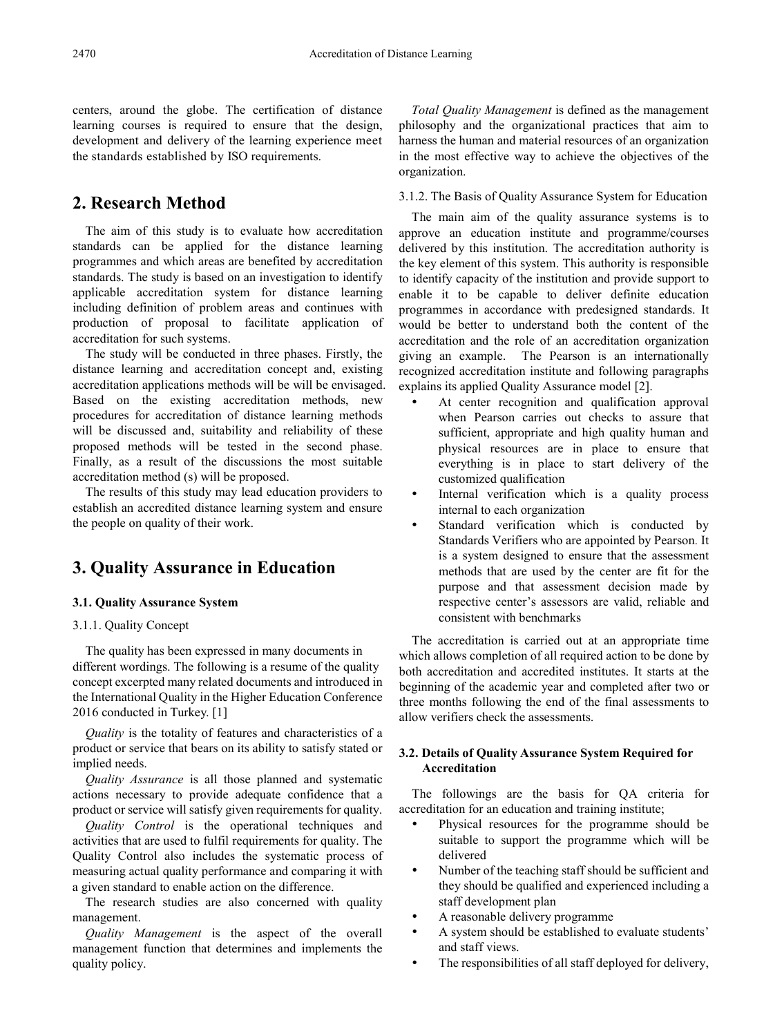centers, around the globe. The certification of distance learning courses is required to ensure that the design, development and delivery of the learning experience meet the standards established by ISO requirements.

# **2. Research Method**

The aim of this study is to evaluate how accreditation standards can be applied for the distance learning programmes and which areas are benefited by accreditation standards. The study is based on an investigation to identify applicable accreditation system for distance learning including definition of problem areas and continues with production of proposal to facilitate application of accreditation for such systems.

The study will be conducted in three phases. Firstly, the distance learning and accreditation concept and, existing accreditation applications methods will be will be envisaged. Based on the existing accreditation methods, new procedures for accreditation of distance learning methods will be discussed and, suitability and reliability of these proposed methods will be tested in the second phase. Finally, as a result of the discussions the most suitable accreditation method (s) will be proposed.

The results of this study may lead education providers to establish an accredited distance learning system and ensure the people on quality of their work.

# **3. Quality Assurance in Education**

#### **3.1. Quality Assurance System**

#### 3.1.1. Quality Concept

The quality has been expressed in many documents in different wordings. The following is a resume of the quality concept excerpted many related documents and introduced in the International Quality in the Higher Education Conference 2016 conducted in Turkey. [1]

*Quality* is the totality of features and characteristics of a product or service that bears on its ability to satisfy stated or implied needs.

*Quality Assurance* is all those planned and systematic actions necessary to provide adequate confidence that a product or service will satisfy given requirements for quality.

*Quality Control* is the operational techniques and activities that are used to fulfil requirements for quality. The Quality Control also includes the systematic process of measuring actual quality performance and comparing it with a given standard to enable action on the difference.

The research studies are also concerned with quality management.

*Quality Management* is the aspect of the overall management function that determines and implements the quality policy.

*Total Quality Management* is defined as the management philosophy and the organizational practices that aim to harness the human and material resources of an organization in the most effective way to achieve the objectives of the organization.

3.1.2. The Basis of Quality Assurance System for Education

The main aim of the quality assurance systems is to approve an education institute and programme/courses delivered by this institution. The accreditation authority is the key element of this system. This authority is responsible to identify capacity of the institution and provide support to enable it to be capable to deliver definite education programmes in accordance with predesigned standards. It would be better to understand both the content of the accreditation and the role of an accreditation organization giving an example. The Pearson is an internationally recognized accreditation institute and following paragraphs explains its applied Quality Assurance model [2].

- At center recognition and qualification approval when Pearson carries out checks to assure that sufficient, appropriate and high quality human and physical resources are in place to ensure that everything is in place to start delivery of the customized qualification
- Internal verification which is a quality process internal to each organization
- Standard verification which is conducted by Standards Verifiers who are appointed by Pearson. It is a system designed to ensure that the assessment methods that are used by the center are fit for the purpose and that assessment decision made by respective center's assessors are valid, reliable and consistent with benchmarks

The accreditation is carried out at an appropriate time which allows completion of all required action to be done by both accreditation and accredited institutes. It starts at the beginning of the academic year and completed after two or three months following the end of the final assessments to allow verifiers check the assessments.

#### **3.2. Details of Quality Assurance System Required for Accreditation**

The followings are the basis for QA criteria for accreditation for an education and training institute;

- Physical resources for the programme should be suitable to support the programme which will be delivered
- Number of the teaching staff should be sufficient and they should be qualified and experienced including a staff development plan
- A reasonable delivery programme
- A system should be established to evaluate students' and staff views.
- The responsibilities of all staff deployed for delivery,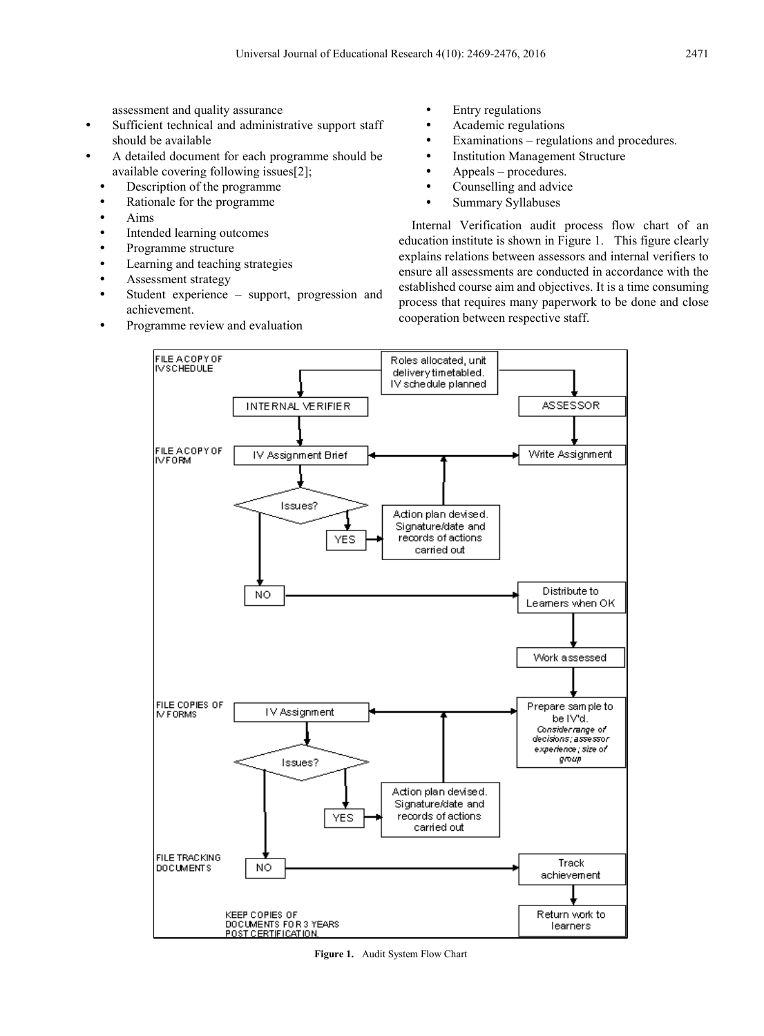assessment and quality assurance

- Sufficient technical and administrative support staff should be available
- A detailed document for each programme should be available covering following issues[2];
	- Description of the programme
	- Rationale for the programme
	- Aims
	- Intended learning outcomes
	- Programme structure
	- Learning and teaching strategies
	- Assessment strategy
	- Student experience support, progression and achievement.
	- Programme review and evaluation
- Entry regulations
- Academic regulations
- Examinations regulations and procedures.
- Institution Management Structure
- Appeals procedures.
- Counselling and advice
- Summary Syllabuses

Internal Verification audit process flow chart of an education institute is shown in Figure 1. This figure clearly explains relations between assessors and internal verifiers to ensure all assessments are conducted in accordance with the established course aim and objectives. It is a time consuming process that requires many paperwork to be done and close cooperation between respective staff.



**Figure 1.** Audit System Flow Chart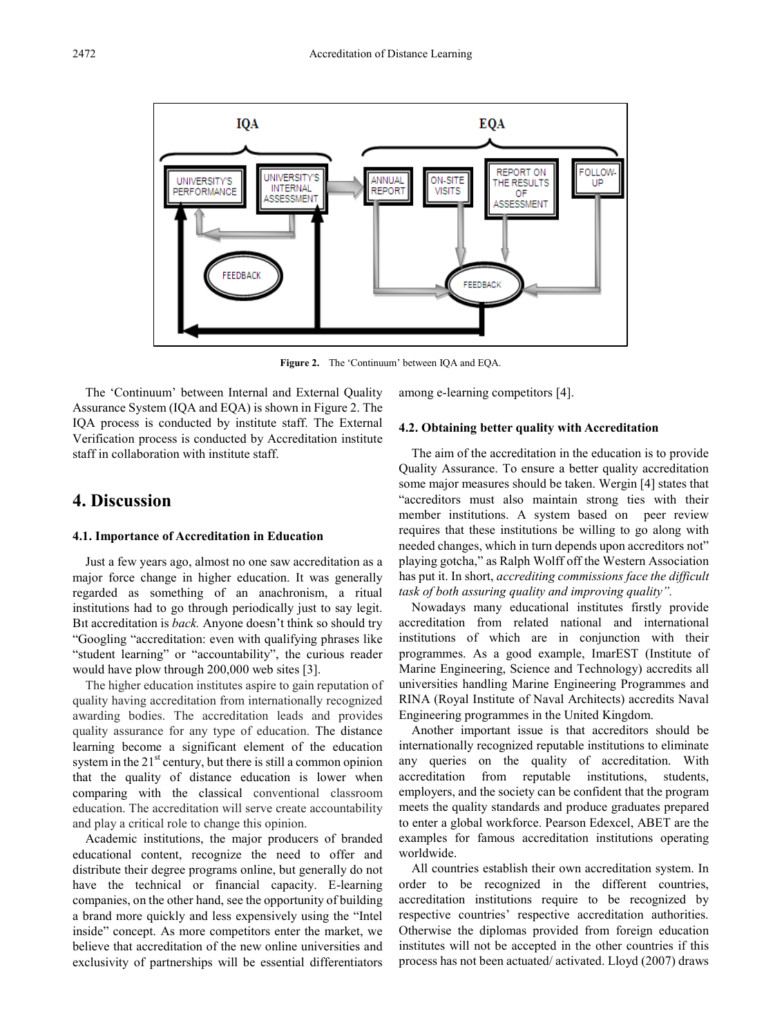

**Figure 2.** The 'Continuum' between IQA and EQA.

The 'Continuum' between Internal and External Quality Assurance System (IQA and EQA) is shown in Figure 2. The IQA process is conducted by institute staff. The External Verification process is conducted by Accreditation institute staff in collaboration with institute staff.

### **4. Discussion**

#### **4.1. Importance of Accreditation in Education**

Just a few years ago, almost no one saw accreditation as a major force change in higher education. It was generally regarded as something of an anachronism, a ritual institutions had to go through periodically just to say legit. Bıt accreditation is *back.* Anyone doesn't think so should try "Googling "accreditation: even with qualifying phrases like "student learning" or "accountability", the curious reader would have plow through 200,000 web sites [3].

The higher education institutes aspire to gain reputation of quality having accreditation from internationally recognized awarding bodies. The accreditation leads and provides quality assurance for any type of education. The distance learning become a significant element of the education system in the  $21<sup>st</sup>$  century, but there is still a common opinion that the quality of distance education is lower when comparing with the classical conventional classroom education. The accreditation will serve create accountability and play a critical role to change this opinion.

Academic institutions, the major producers of branded educational content, recognize the need to offer and distribute their degree programs online, but generally do not have the technical or financial capacity. E-learning companies, on the other hand, see the opportunity of building a brand more quickly and less expensively using the "Intel inside" concept. As more competitors enter the market, we believe that accreditation of the new online universities and exclusivity of partnerships will be essential differentiators

among e-learning competitors [4].

#### **4.2. Obtaining better quality with Accreditation**

The aim of the accreditation in the education is to provide Quality Assurance. To ensure a better quality accreditation some major measures should be taken. Wergin [4] states that "accreditors must also maintain strong ties with their member institutions. A system based on peer review requires that these institutions be willing to go along with needed changes, which in turn depends upon accreditors not" playing gotcha," as Ralph Wolff off the Western Association has put it. In short, *accrediting commissions face the difficult task of both assuring quality and improving quality".*

Nowadays many educational institutes firstly provide accreditation from related national and international institutions of which are in conjunction with their programmes. As a good example, ImarEST (Institute of Marine Engineering, Science and Technology) accredits all universities handling Marine Engineering Programmes and RINA (Royal Institute of Naval Architects) accredits Naval Engineering programmes in the United Kingdom.

Another important issue is that accreditors should be internationally recognized reputable institutions to eliminate any queries on the quality of accreditation. With accreditation from reputable institutions, students, employers, and the society can be confident that the program meets the quality standards and produce graduates prepared to enter a global workforce. Pearson Edexcel, ABET are the examples for famous accreditation institutions operating worldwide.

All countries establish their own accreditation system. In order to be recognized in the different countries, accreditation institutions require to be recognized by respective countries' respective accreditation authorities. Otherwise the diplomas provided from foreign education institutes will not be accepted in the other countries if this process has not been actuated/ activated. Lloyd (2007) draws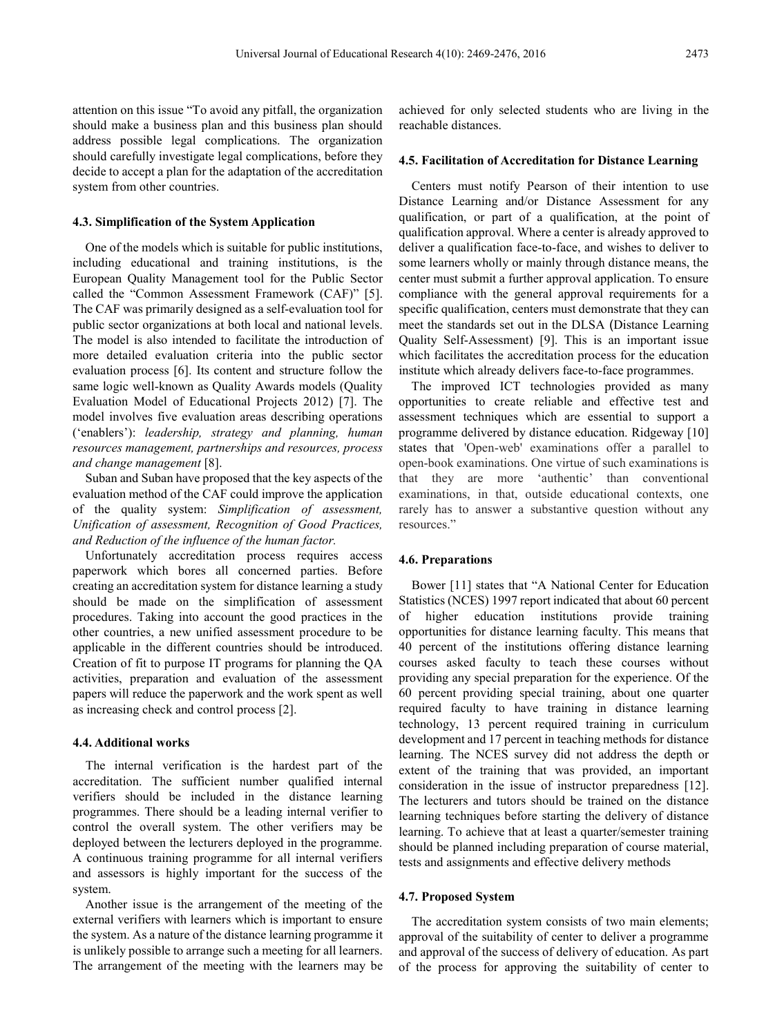attention on this issue "To avoid any pitfall, the organization should make a business plan and this business plan should address possible legal complications. The organization should carefully investigate legal complications, before they decide to accept a plan for the adaptation of the accreditation system from other countries.

#### **4.3. Simplification of the System Application**

One of the models which is suitable for public institutions, including educational and training institutions, is the European Quality Management tool for the Public Sector called the "Common Assessment Framework (CAF)" [5]. The CAF was primarily designed as a self-evaluation tool for public sector organizations at both local and national levels. The model is also intended to facilitate the introduction of more detailed evaluation criteria into the public sector evaluation process [6]. Its content and structure follow the same logic well-known as Quality Awards models (Quality Evaluation Model of Educational Projects 2012) [7]. The model involves five evaluation areas describing operations ('enablers'): *leadership, strategy and planning, human resources management, partnerships and resources, process and change management* [8].

Suban and Suban have proposed that the key aspects of the evaluation method of the CAF could improve the application of the quality system: *Simplification of assessment, Unification of assessment, Recognition of Good Practices, and Reduction of the influence of the human factor.*

Unfortunately accreditation process requires access paperwork which bores all concerned parties. Before creating an accreditation system for distance learning a study should be made on the simplification of assessment procedures. Taking into account the good practices in the other countries, a new unified assessment procedure to be applicable in the different countries should be introduced. Creation of fit to purpose IT programs for planning the QA activities, preparation and evaluation of the assessment papers will reduce the paperwork and the work spent as well as increasing check and control process [2].

#### **4.4. Additional works**

The internal verification is the hardest part of the accreditation. The sufficient number qualified internal verifiers should be included in the distance learning programmes. There should be a leading internal verifier to control the overall system. The other verifiers may be deployed between the lecturers deployed in the programme. A continuous training programme for all internal verifiers and assessors is highly important for the success of the system.

Another issue is the arrangement of the meeting of the external verifiers with learners which is important to ensure the system. As a nature of the distance learning programme it is unlikely possible to arrange such a meeting for all learners. The arrangement of the meeting with the learners may be

achieved for only selected students who are living in the reachable distances.

#### **4.5. Facilitation of Accreditation for Distance Learning**

Centers must notify Pearson of their intention to use Distance Learning and/or Distance Assessment for any qualification, or part of a qualification, at the point of qualification approval. Where a center is already approved to deliver a qualification face-to-face, and wishes to deliver to some learners wholly or mainly through distance means, the center must submit a further approval application. To ensure compliance with the general approval requirements for a specific qualification, centers must demonstrate that they can meet the standards set out in the DLSA (Distance Learning Quality Self-Assessment) [9]. This is an important issue which facilitates the accreditation process for the education institute which already delivers face-to-face programmes.

The improved ICT technologies provided as many opportunities to create reliable and effective test and assessment techniques which are essential to support a programme delivered by distance education. Ridgeway [10] states that 'Open-web' examinations offer a parallel to open-book examinations. One virtue of such examinations is that they are more 'authentic' than conventional examinations, in that, outside educational contexts, one rarely has to answer a substantive question without any resources."

#### **4.6. Preparations**

Bower [11] states that "A National Center for Education Statistics (NCES) 1997 report indicated that about 60 percent of higher education institutions provide training opportunities for distance learning faculty. This means that 40 percent of the institutions offering distance learning courses asked faculty to teach these courses without providing any special preparation for the experience. Of the 60 percent providing special training, about one quarter required faculty to have training in distance learning technology, 13 percent required training in curriculum development and 17 percent in teaching methods for distance learning. The NCES survey did not address the depth or extent of the training that was provided, an important consideration in the issue of instructor preparedness [12]. The lecturers and tutors should be trained on the distance learning techniques before starting the delivery of distance learning. To achieve that at least a quarter/semester training should be planned including preparation of course material, tests and assignments and effective delivery methods

#### **4.7. Proposed System**

The accreditation system consists of two main elements; approval of the suitability of center to deliver a programme and approval of the success of delivery of education. As part of the process for approving the suitability of center to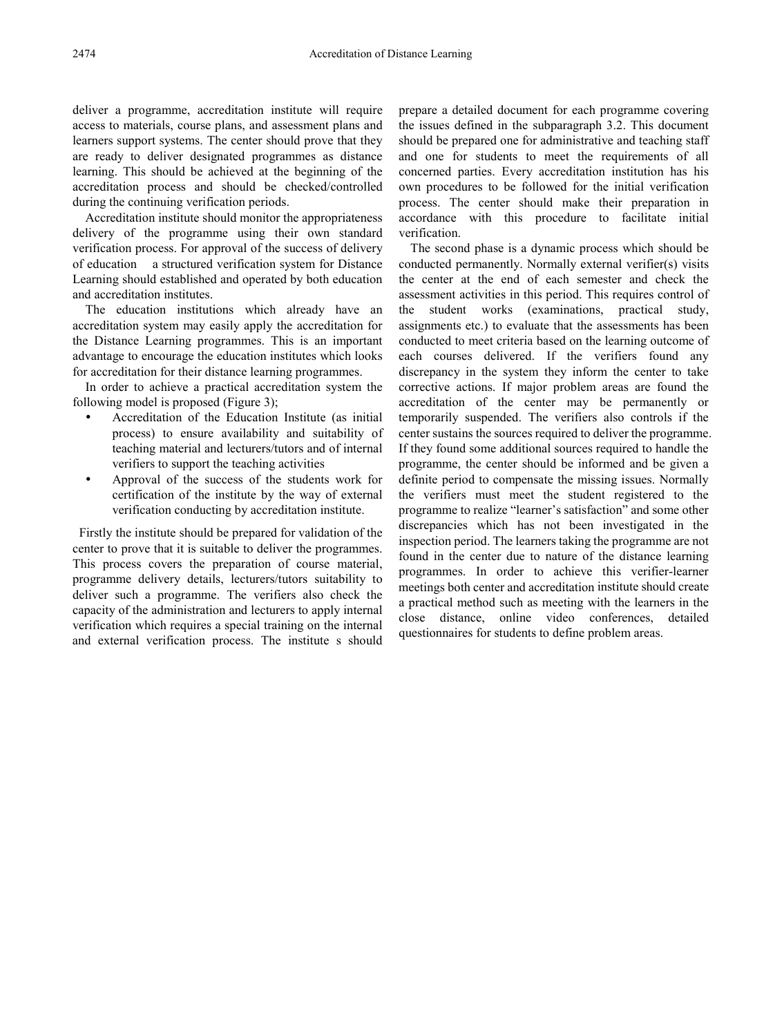deliver a programme, accreditation institute will require access to materials, course plans, and assessment plans and learners support systems. The center should prove that they are ready to deliver designated programmes as distance learning. This should be achieved at the beginning of the accreditation process and should be checked/controlled during the continuing verification periods.

Accreditation institute should monitor the appropriateness delivery of the programme using their own standard verification process. For approval of the success of delivery of education a structured verification system for Distance Learning should established and operated by both education and accreditation institutes.

The education institutions which already have an accreditation system may easily apply the accreditation for the Distance Learning programmes. This is an important advantage to encourage the education institutes which looks for accreditation for their distance learning programmes.

In order to achieve a practical accreditation system the following model is proposed (Figure 3);

- Accreditation of the Education Institute (as initial process) to ensure availability and suitability of teaching material and lecturers/tutors and of internal verifiers to support the teaching activities
- Approval of the success of the students work for certification of the institute by the way of external verification conducting by accreditation institute.

Firstly the institute should be prepared for validation of the center to prove that it is suitable to deliver the programmes. This process covers the preparation of course material, programme delivery details, lecturers/tutors suitability to deliver such a programme. The verifiers also check the capacity of the administration and lecturers to apply internal verification which requires a special training on the internal and external verification process. The institute s should

prepare a detailed document for each programme covering the issues defined in the subparagraph 3.2. This document should be prepared one for administrative and teaching staff and one for students to meet the requirements of all concerned parties. Every accreditation institution has his own procedures to be followed for the initial verification process. The center should make their preparation in accordance with this procedure to facilitate initial verification.

The second phase is a dynamic process which should be conducted permanently. Normally external verifier(s) visits the center at the end of each semester and check the assessment activities in this period. This requires control of the student works (examinations, practical study, assignments etc.) to evaluate that the assessments has been conducted to meet criteria based on the learning outcome of each courses delivered. If the verifiers found any discrepancy in the system they inform the center to take corrective actions. If major problem areas are found the accreditation of the center may be permanently or temporarily suspended. The verifiers also controls if the center sustains the sources required to deliver the programme. If they found some additional sources required to handle the programme, the center should be informed and be given a definite period to compensate the missing issues. Normally the verifiers must meet the student registered to the programme to realize "learner's satisfaction" and some other discrepancies which has not been investigated in the inspection period. The learners taking the programme are not found in the center due to nature of the distance learning programmes. In order to achieve this verifier-learner meetings both center and accreditation institute should create a practical method such as meeting with the learners in the close distance, online video conferences, detailed questionnaires for students to define problem areas.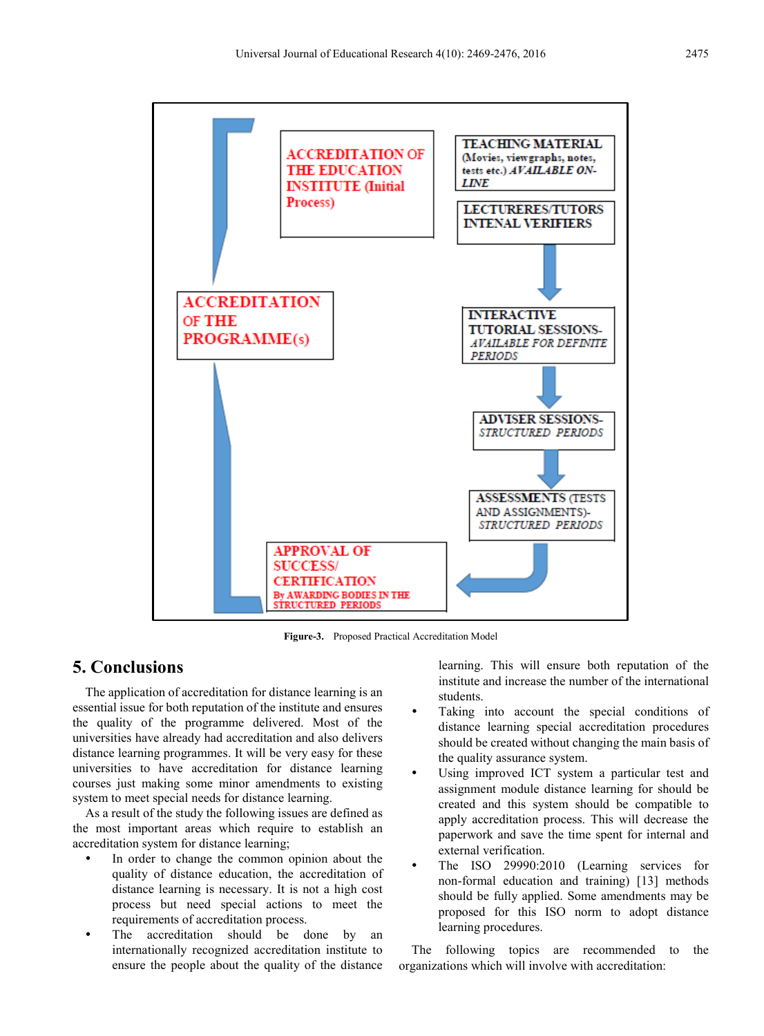

**Figure-3.** Proposed Practical Accreditation Model

## **5. Conclusions**

The application of accreditation for distance learning is an essential issue for both reputation of the institute and ensures the quality of the programme delivered. Most of the universities have already had accreditation and also delivers distance learning programmes. It will be very easy for these universities to have accreditation for distance learning courses just making some minor amendments to existing system to meet special needs for distance learning.

As a result of the study the following issues are defined as the most important areas which require to establish an accreditation system for distance learning;

- In order to change the common opinion about the quality of distance education, the accreditation of distance learning is necessary. It is not a high cost process but need special actions to meet the requirements of accreditation process.
- The accreditation should be done by an internationally recognized accreditation institute to ensure the people about the quality of the distance

learning. This will ensure both reputation of the institute and increase the number of the international students.

- Taking into account the special conditions of distance learning special accreditation procedures should be created without changing the main basis of the quality assurance system.
- Using improved ICT system a particular test and assignment module distance learning for should be created and this system should be compatible to apply accreditation process. This will decrease the paperwork and save the time spent for internal and external verification.
- The ISO 29990:2010 (Learning services for non-formal education and training) [13] methods should be fully applied. Some amendments may be proposed for this ISO norm to adopt distance learning procedures.

The following topics are recommended to the organizations which will involve with accreditation: